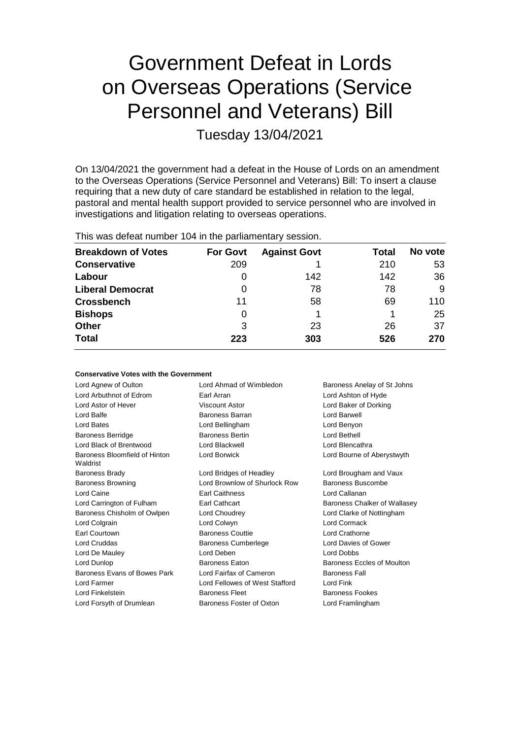# Government Defeat in Lords on Overseas Operations (Service Personnel and Veterans) Bill

Tuesday 13/04/2021

On 13/04/2021 the government had a defeat in the House of Lords on an amendment to the Overseas Operations (Service Personnel and Veterans) Bill: To insert a clause requiring that a new duty of care standard be established in relation to the legal, pastoral and mental health support provided to service personnel who are involved in investigations and litigation relating to overseas operations.

This was defeat number 104 in the parliamentary session.

| <b>Breakdown of Votes</b> | <b>For Govt</b> | <b>Against Govt</b> | Total | No vote |
|---------------------------|-----------------|---------------------|-------|---------|
| <b>Conservative</b>       | 209             |                     | 210   | 53      |
| Labour                    | O               | 142                 | 142   | 36      |
| <b>Liberal Democrat</b>   | 0               | 78                  | 78    | 9       |
| <b>Crossbench</b>         | 11              | 58                  | 69    | 110     |
| <b>Bishops</b>            | 0               |                     |       | 25      |
| <b>Other</b>              | 3               | 23                  | 26    | 37      |
| <b>Total</b>              | 223             | 303                 | 526   | 270     |

| <b>Conservative Votes with the Government</b> |  |  |
|-----------------------------------------------|--|--|
|-----------------------------------------------|--|--|

| Lord Agnew of Oulton                      | Lord Ahmad of Wimbledon<br>Baroness Anelay of St Johns |                              |
|-------------------------------------------|--------------------------------------------------------|------------------------------|
| Lord Arbuthnot of Edrom                   | Earl Arran                                             | Lord Ashton of Hyde          |
| Lord Astor of Hever                       | Viscount Astor                                         | Lord Baker of Dorking        |
| Lord Balfe                                | <b>Baroness Barran</b>                                 | Lord Barwell                 |
| Lord Bates                                | Lord Bellingham                                        | Lord Benyon                  |
| <b>Baroness Berridge</b>                  | <b>Baroness Bertin</b>                                 | Lord Bethell                 |
| Lord Black of Brentwood                   | Lord Blackwell                                         | Lord Blencathra              |
| Baroness Bloomfield of Hinton<br>Waldrist | Lord Borwick                                           | Lord Bourne of Aberystwyth   |
| <b>Baroness Brady</b>                     | Lord Bridges of Headley                                | Lord Brougham and Vaux       |
| <b>Baroness Browning</b>                  | Lord Brownlow of Shurlock Row                          | Baroness Buscombe            |
| Lord Caine                                | <b>Earl Caithness</b>                                  | Lord Callanan                |
| Lord Carrington of Fulham                 | <b>Earl Cathcart</b>                                   | Baroness Chalker of Wallasey |
| Baroness Chisholm of Owlpen               | Lord Choudrey                                          | Lord Clarke of Nottingham    |
| Lord Colgrain                             | Lord Colwyn                                            | Lord Cormack                 |
| Earl Courtown                             | <b>Baroness Couttie</b>                                | Lord Crathorne               |
| Lord Cruddas                              | <b>Baroness Cumberlege</b>                             | Lord Davies of Gower         |
| Lord De Mauley                            | Lord Deben                                             | Lord Dobbs                   |
| Lord Dunlop                               | <b>Baroness Eaton</b>                                  | Baroness Eccles of Moulton   |
| Baroness Evans of Bowes Park              | Lord Fairfax of Cameron                                | <b>Baroness Fall</b>         |
| Lord Farmer                               | Lord Fellowes of West Stafford                         | Lord Fink                    |
| Lord Finkelstein                          | <b>Baroness Fleet</b>                                  | <b>Baroness Fookes</b>       |
| Lord Forsyth of Drumlean                  | Baroness Foster of Oxton                               | Lord Framlingham             |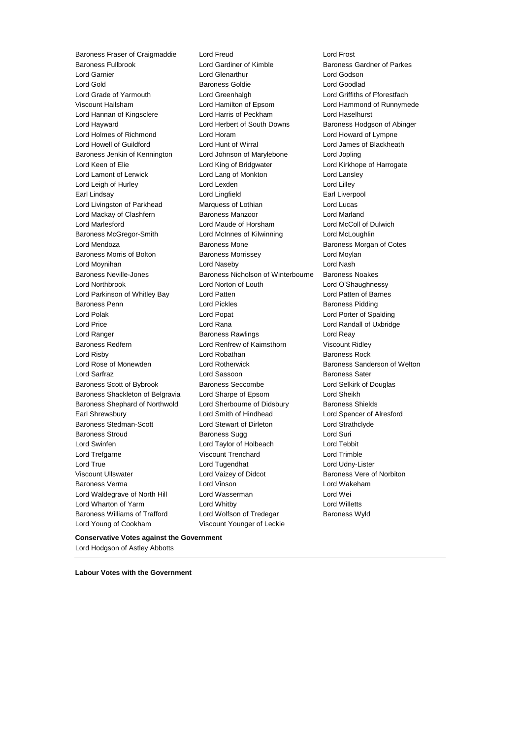Baroness Fullbrook Lord Gardiner of Kimble Baroness Gardner of Parkes Lord Garnier Lord Glenarthur Lord Godson Lord Gold Baroness Goldie Lord Goodlad Lord Grade of Yarmouth Lord Greenhalgh Lord Griffiths of Fforestfach Viscount Hailsham Lord Hamilton of Epsom Lord Hammond of Runnymede Lord Hannan of Kingsclere Lord Harris of Peckham Lord Haselhurst Lord Hayward Lord Herbert of South Downs Baroness Hodgson of Abinger Lord Holmes of Richmond Lord Horam Lord Howard of Lympne Lord Howell of Guildford Lord Hunt of Wirral Lord James of Blackheath Baroness Jenkin of Kennington Lord Johnson of Marylebone Lord Jopling Lord Keen of Elie Lord King of Bridgwater Lord Kirkhope of Harrogate Lord Lamont of Lerwick Lord Lang of Monkton Lord Lansley Lord Leigh of Hurley **Lord Lord Lexden** Lord Lord Lord Lilley Earl Lindsay **Lord Lingfield** Earl Liverpool Lord Lingfield Earl Liverpool Lord Livingston of Parkhead Marquess of Lothian Lord Lucas Lord Mackay of Clashfern Baroness Manzoor Lord Marland Lord Marlesford Lord Maude of Horsham Lord McColl of Dulwich Baroness McGregor-Smith Lord McInnes of Kilwinning Lord McLoughlin Lord Mendoza Baroness Mone Baroness Morgan of Cotes Baroness Morris of Bolton **Baroness Morrissey Baroness Morrissey** Lord Moylan Lord Moynihan Lord Naseby Lord Nash Baroness Neville-Jones **Baroness Nicholson of Winterbourne** Baroness Noakes Lord Northbrook Lord Norton of Louth Lord O'Shaughnessy Lord Parkinson of Whitley Bay Lord Patten Lord Patten of Barnes Baroness Penn **Example 20** Lord Pickles **Baroness Pidding** Lord Polak Lord Popat Lord Porter of Spalding Lord Price Lord Rana Lord Randall of Uxbridge Lord Ranger **Baroness Rawlings** Lord Reay Readers Baroness Redfern Lord Renfrew of Kaimsthorn Viscount Ridley Lord Risby **Lord Robathan** Baroness Rock Lord Rose of Monewden **Lord Rotherwick** Baroness Sanderson of Welton Lord Sarfraz **Lord Sassoon** Baroness Sater Baroness Scott of Bybrook Baroness Seccombe Lord Selkirk of Douglas Baroness Shackleton of Belgravia Lord Sharpe of Epsom Lord Sheikh Baroness Shephard of Northwold Lord Sherbourne of Didsbury Baroness Shields Earl Shrewsbury Lord Smith of Hindhead Lord Spencer of Alresford Baroness Stedman-Scott Lord Stewart of Dirleton Lord Strathclyde Baroness Stroud **Baroness Sugg Community** Baroness Sugg Lord Suri Lord Swinfen Lord Taylor of Holbeach Lord Tebbit Lord Trefgarne Viscount Trenchard Lord Trimble Lord True Lord Tugendhat Lord Udny-Lister Viscount Ullswater Lord Vaizey of Didcot Baroness Vere of Norbiton Baroness Verma Lord Vinson Lord Wakeham Lord Waldegrave of North Hill Lord Wasserman Lord Wei Lord Wharton of Yarm Lord Whitby Lord Willetts Baroness Williams of Trafford Lord Wolfson of Tredegar Baroness Wyld Lord Young of Cookham Viscount Younger of Leckie

Baroness Fraser of Craigmaddie Lord Freud Lord Frost

**Conservative Votes against the Government** Lord Hodgson of Astley Abbotts

**Labour Votes with the Government**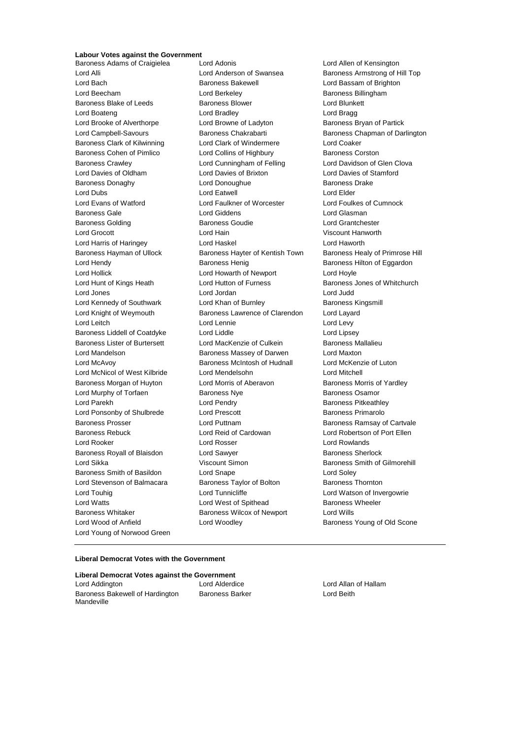# **Labour Votes against the Government**<br>Baroness Adams of Craigielea Lord Adopis

Baroness Adams of Craigielea Lord Adonis Lord Allen of Kensington Lord Alli **Lord Anderson of Swansea** Baroness Armstrong of Hill Top Lord Bach Baroness Bakewell Lord Bassam of Brighton Lord Beecham **Lord Berkeley Baroness Billingham** Baroness Blake of Leeds **Baroness Blower** Baroness Blower **Lord Blunkett** Lord Boateng Lord Bradley Lord Bragg Lord Brooke of Alverthorpe Lord Browne of Ladyton Baroness Bryan of Partick Baroness Clark of Kilwinning Lord Clark of Windermere Lord Coaker Baroness Cohen of Pimlico **Lord Collins of Highbury** Baroness Corston Baroness Crawley Lord Cunningham of Felling Lord Davidson of Glen Clova Lord Davies of Oldham Lord Davies of Brixton Lord Davies of Stamford Baroness Donaghy **Lord Donoughue** Baroness Drake Baroness Drake Lord Dubs Lord Eatwell Lord Elder Lord Evans of Watford Lord Faulkner of Worcester Lord Foulkes of Cumnock Baroness Gale Lord Giddens Lord Glasman Baroness Golding **Baroness Goudie** Baroness Goudie Lord Grantchester Lord Grocott Lord Hain Viscount Hanworth Lord Harris of Haringey Lord Haskel Lord Haworth Baroness Hayman of Ullock Baroness Hayter of Kentish Town Baroness Healy of Primrose Hill Lord Hendy **Baroness Henig** Baroness Henig Baroness Hilton of Eggardon Lord Hollick Lord Howarth of Newport Lord Hoyle Lord Hunt of Kings Heath Lord Hutton of Furness Baroness Jones of Whitchurch Lord Jones Lord Jordan Lord Judd Lord Kennedy of Southwark Lord Khan of Burnley Baroness Kingsmill Lord Knight of Weymouth Baroness Lawrence of Clarendon Lord Layard Lord Leitch **Lord Lennie** Lord Lennie **Lord Levy** Baroness Liddell of Coatdyke Lord Liddle Lord Linesey Baroness Lister of Burtersett Lord MacKenzie of Culkein Baroness Mallalieu Lord Mandelson Baroness Massey of Darwen Lord Maxton Lord McAvoy Baroness McIntosh of Hudnall Lord McKenzie of Luton Lord McNicol of West Kilbride Lord Mendelsohn Lord Mitchell Baroness Morgan of Huyton Lord Morris of Aberavon Baroness Morris of Yardley Lord Murphy of Torfaen **Baroness Nye** Baroness Osamor Lord Parekh **Lord Pendry Communist Pendry** Baroness Pitkeathley Lord Ponsonby of Shulbrede Lord Prescott Baroness Primarolo Baroness Prosser Lord Puttnam Baroness Ramsay of Cartvale Baroness Rebuck Lord Reid of Cardowan Lord Robertson of Port Ellen Lord Rooker Lord Rosser Lord Rowlands Baroness Royall of Blaisdon Lord Sawyer **Baroness Sherlock** Baroness Sherlock Lord Sikka **Viscount Simon** Baroness Smith of Gilmorehill Baroness Smith of Basildon Lord Snape Lord Soley Lord Stevenson of Balmacara Baroness Taylor of Bolton Baroness Thornton Lord Touhig **Lord Tunnicliffe** Lord Tunnicliffe Lord Watson of Invergowrie Lord Watts **Lord West of Spithead** Baroness Wheeler Baroness Whitaker Baroness Wilcox of Newport Lord Wills Lord Wood of Anfield **Lord Woodley Baroness Young of Old Scone** Lord Young of Norwood Green

Lord Campbell-Savours **Baroness Chakrabarti** Baroness Chapman of Darlington

#### **Liberal Democrat Votes with the Government**

**Liberal Democrat Votes against the Government** Lord Addington Lord Alderdice Lord Allan of Hallam Baroness Bakewell of Hardington Mandeville

Baroness Barker **Lord Beith**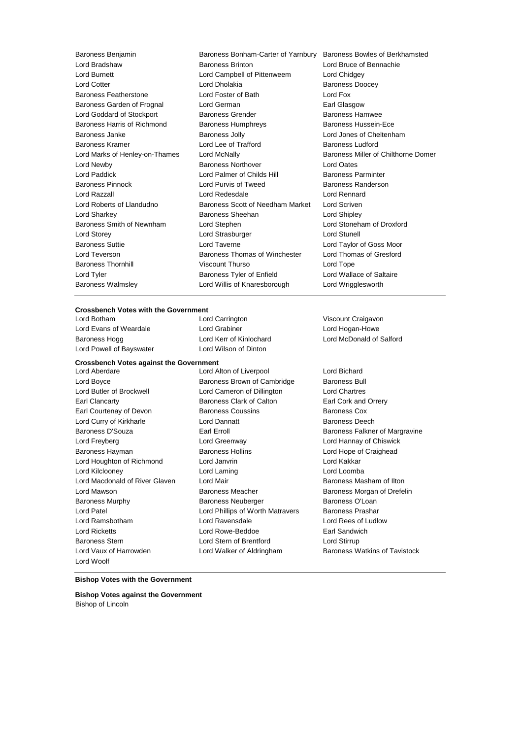| Baroness Benjamin              | Baroness Bonham-Carter of Yarnbury | Baroness Bowles of Berkhamsted      |  |
|--------------------------------|------------------------------------|-------------------------------------|--|
| Lord Bradshaw                  | <b>Baroness Brinton</b>            | Lord Bruce of Bennachie             |  |
| <b>Lord Burnett</b>            | Lord Campbell of Pittenweem        | Lord Chidgey                        |  |
| <b>Lord Cotter</b>             | Lord Dholakia                      | <b>Baroness Doocey</b>              |  |
| <b>Baroness Featherstone</b>   | Lord Foster of Bath                | Lord Fox                            |  |
| Baroness Garden of Frognal     | Lord German                        | Earl Glasgow                        |  |
| Lord Goddard of Stockport      | Baroness Grender                   | <b>Baroness Hamwee</b>              |  |
| Baroness Harris of Richmond    | <b>Baroness Humphreys</b>          | Baroness Hussein-Ece                |  |
| Baroness Janke                 | <b>Baroness Jolly</b>              | Lord Jones of Cheltenham            |  |
| Baroness Kramer                | Lord Lee of Trafford               | <b>Baroness Ludford</b>             |  |
| Lord Marks of Henley-on-Thames | Lord McNally                       | Baroness Miller of Chilthorne Domer |  |
| Lord Newby                     | <b>Baroness Northover</b>          | <b>Lord Oates</b>                   |  |
| Lord Paddick                   | Lord Palmer of Childs Hill         | <b>Baroness Parminter</b>           |  |
| <b>Baroness Pinnock</b>        | Lord Purvis of Tweed               | Baroness Randerson                  |  |
| Lord Razzall                   | Lord Redesdale                     | Lord Rennard                        |  |
| Lord Roberts of Llandudno      | Baroness Scott of Needham Market   | Lord Scriven                        |  |
| Lord Sharkey                   | Baroness Sheehan                   | Lord Shipley                        |  |
| Baroness Smith of Newnham      | Lord Stephen                       | Lord Stoneham of Droxford           |  |
| Lord Storey                    | Lord Strasburger                   | <b>Lord Stunell</b>                 |  |
| <b>Baroness Suttie</b>         | Lord Taverne                       | Lord Taylor of Goss Moor            |  |
| Lord Teverson                  | Baroness Thomas of Winchester      | Lord Thomas of Gresford             |  |
| <b>Baroness Thornhill</b>      | Viscount Thurso                    | Lord Tope                           |  |
| Lord Tyler                     | Baroness Tyler of Enfield          | Lord Wallace of Saltaire            |  |
| <b>Baroness Walmslev</b>       | Lord Willis of Knaresborough       | Lord Wrigglesworth                  |  |

#### **Crossbench Votes with the Government**

Lord Botham Lord Carrington Viscount Craigavon Lord Evans of Weardale **Lord Grabiner** Lord Hogan-Howe Lord Powell of Bayswater Lord Wilson of Dinton

### **Crossbench Votes against the Government**

Lord Boyce **Baroness Brown of Cambridge** Baroness Bull Lord Butler of Brockwell Lord Cameron of Dillington Lord Chartres Earl Clancarty Baroness Clark of Calton Earl Cork and Orrery Earl Courtenay of Devon Baroness Coussins Baroness Cox Lord Curry of Kirkharle Lord Dannatt Baroness Deech Baroness D'Souza **Earl Erroll** Earl Erroll Baroness Falkner of Margravine Lord Freyberg Lord Greenway Lord Hannay of Chiswick Baroness Hayman **Baroness Hollins** Lord Hope of Craighead Lord Houghton of Richmond Lord Janvrin Lord Cord Kakkar Lord Kilclooney Lord Laming Lord Loomba Lord Macdonald of River Glaven Lord Mair **Baroness Masham of Ilton** Lord Mawson **Baroness Meacher Baroness Meacher** Baroness Morgan of Drefelin Baroness Murphy **Baroness Neuberger** Baroness O'Loan Lord Patel **Lord Phillips of Worth Matravers** Baroness Prashar Lord Ramsbotham Lord Ravensdale Lord Rees of Ludlow Lord Ricketts **Lord Rowe-Beddoe** Earl Sandwich Baroness Stern **Lord Stern of Brentford** Lord Stirrup Lord Vaux of Harrowden **Lord Walker of Aldringham** Baroness Watkins of Tavistock Lord Woolf

Lord Aberdare Lord Alton of Liverpool Lord Bichard

Baroness Hogg Lord Kerr of Kinlochard Lord McDonald of Salford

#### **Bishop Votes with the Government**

**Bishop Votes against the Government** Bishop of Lincoln